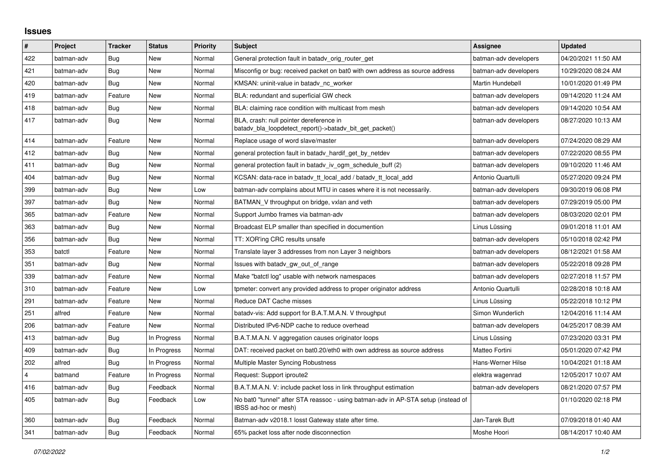## **Issues**

| $\vert$ # | Project    | <b>Tracker</b> | <b>Status</b> | <b>Priority</b> | <b>Subject</b>                                                                                            | Assignee              | <b>Updated</b>      |
|-----------|------------|----------------|---------------|-----------------|-----------------------------------------------------------------------------------------------------------|-----------------------|---------------------|
| 422       | batman-adv | Bug            | New           | Normal          | General protection fault in batady orig router get                                                        | batman-adv developers | 04/20/2021 11:50 AM |
| 421       | batman-adv | Bug            | New           | Normal          | Misconfig or bug: received packet on bat0 with own address as source address                              | batman-adv developers | 10/29/2020 08:24 AM |
| 420       | batman-adv | Bug            | New           | Normal          | KMSAN: uninit-value in batady nc worker                                                                   | Martin Hundebøll      | 10/01/2020 01:49 PM |
| 419       | batman-adv | Feature        | New           | Normal          | BLA: redundant and superficial GW check                                                                   | batman-adv developers | 09/14/2020 11:24 AM |
| 418       | batman-adv | Bug            | New           | Normal          | BLA: claiming race condition with multicast from mesh                                                     | batman-adv developers | 09/14/2020 10:54 AM |
| 417       | batman-adv | Bug            | New           | Normal          | BLA, crash: null pointer dereference in<br>batady bla loopdetect report()->batady bit get packet()        | batman-adv developers | 08/27/2020 10:13 AM |
| 414       | batman-adv | Feature        | <b>New</b>    | Normal          | Replace usage of word slave/master                                                                        | batman-adv developers | 07/24/2020 08:29 AM |
| 412       | batman-adv | <b>Bug</b>     | New           | Normal          | general protection fault in batady hardif get by netdev                                                   | batman-adv developers | 07/22/2020 08:55 PM |
| 411       | batman-adv | Bug            | New           | Normal          | general protection fault in batady iv ogm_schedule_buff (2)                                               | batman-adv developers | 09/10/2020 11:46 AM |
| 404       | batman-adv | Bug            | <b>New</b>    | Normal          | KCSAN: data-race in batady tt local add / batady tt local add                                             | Antonio Quartulli     | 05/27/2020 09:24 PM |
| 399       | batman-adv | Bug            | <b>New</b>    | Low             | batman-adv complains about MTU in cases where it is not necessarily.                                      | batman-adv developers | 09/30/2019 06:08 PM |
| 397       | batman-adv | <b>Bug</b>     | New           | Normal          | BATMAN_V throughput on bridge, vxlan and veth                                                             | batman-adv developers | 07/29/2019 05:00 PM |
| 365       | batman-adv | Feature        | New           | Normal          | Support Jumbo frames via batman-adv                                                                       | batman-adv developers | 08/03/2020 02:01 PM |
| 363       | batman-adv | Bug            | New           | Normal          | Broadcast ELP smaller than specified in documention                                                       | Linus Lüssing         | 09/01/2018 11:01 AM |
| 356       | batman-adv | Bug            | New           | Normal          | TT: XOR'ing CRC results unsafe                                                                            | batman-adv developers | 05/10/2018 02:42 PM |
| 353       | batctl     | Feature        | <b>New</b>    | Normal          | Translate layer 3 addresses from non Layer 3 neighbors                                                    | batman-adv developers | 08/12/2021 01:58 AM |
| 351       | batman-adv | <b>Bug</b>     | <b>New</b>    | Normal          | Issues with batady gw out of range                                                                        | batman-adv developers | 05/22/2018 09:28 PM |
| 339       | batman-adv | Feature        | New           | Normal          | Make "batctl log" usable with network namespaces                                                          | batman-adv developers | 02/27/2018 11:57 PM |
| 310       | batman-adv | Feature        | New           | Low             | tpmeter: convert any provided address to proper originator address                                        | Antonio Quartulli     | 02/28/2018 10:18 AM |
| 291       | batman-adv | Feature        | <b>New</b>    | Normal          | Reduce DAT Cache misses                                                                                   | Linus Lüssing         | 05/22/2018 10:12 PM |
| 251       | alfred     | Feature        | New           | Normal          | batady-vis: Add support for B.A.T.M.A.N. V throughput                                                     | Simon Wunderlich      | 12/04/2016 11:14 AM |
| 206       | batman-adv | Feature        | <b>New</b>    | Normal          | Distributed IPv6-NDP cache to reduce overhead                                                             | batman-adv developers | 04/25/2017 08:39 AM |
| 413       | batman-adv | Bug            | In Progress   | Normal          | B.A.T.M.A.N. V aggregation causes originator loops                                                        | Linus Lüssing         | 07/23/2020 03:31 PM |
| 409       | batman-adv | Bug            | In Progress   | Normal          | DAT: received packet on bat0.20/eth0 with own address as source address                                   | Matteo Fortini        | 05/01/2020 07:42 PM |
| 202       | alfred     | Bug            | In Progress   | Normal          | Multiple Master Syncing Robustness                                                                        | Hans-Werner Hilse     | 10/04/2021 01:18 AM |
| 4         | batmand    | Feature        | In Progress   | Normal          | Request: Support iproute2                                                                                 | elektra wagenrad      | 12/05/2017 10:07 AM |
| 416       | batman-adv | Bug            | Feedback      | Normal          | B.A.T.M.A.N. V: include packet loss in link throughput estimation                                         | batman-adv developers | 08/21/2020 07:57 PM |
| 405       | batman-adv | Bug            | Feedback      | Low             | No bat0 "tunnel" after STA reassoc - using batman-adv in AP-STA setup (instead of<br>IBSS ad-hoc or mesh) |                       | 01/10/2020 02:18 PM |
| 360       | batman-adv | <b>Bug</b>     | Feedback      | Normal          | Batman-adv v2018.1 losst Gateway state after time.                                                        | Jan-Tarek Butt        | 07/09/2018 01:40 AM |
| 341       | batman-adv | Bug            | Feedback      | Normal          | 65% packet loss after node disconnection                                                                  | Moshe Hoori           | 08/14/2017 10:40 AM |